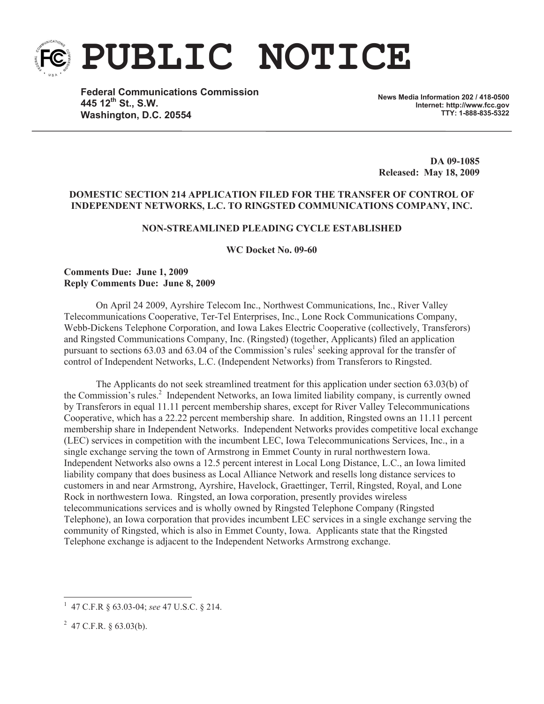

**PUBLIC NOTICE**

**Federal Communications Commission 445 12th St., S.W. Washington, D.C. 20554**

**News Media Information 202 / 418-0500 Internet: http://www.fcc.gov TTY: 1-888-835-5322**

**DA 09-1085 Released: May 18, 2009**

## **DOMESTIC SECTION 214 APPLICATION FILED FOR THE TRANSFER OF CONTROL OF INDEPENDENT NETWORKS, L.C. TO RINGSTED COMMUNICATIONS COMPANY, INC.**

# **NON-STREAMLINED PLEADING CYCLE ESTABLISHED**

**WC Docket No. 09-60**

# **Comments Due: June 1, 2009 Reply Comments Due: June 8, 2009**

On April 24 2009, Ayrshire Telecom Inc., Northwest Communications, Inc., River Valley Telecommunications Cooperative, Ter-Tel Enterprises, Inc., Lone Rock Communications Company, Webb-Dickens Telephone Corporation, and Iowa Lakes Electric Cooperative (collectively, Transferors) and Ringsted Communications Company, Inc. (Ringsted) (together, Applicants) filed an application pursuant to sections 63.03 and 63.04 of the Commission's rules<sup>1</sup> seeking approval for the transfer of control of Independent Networks, L.C. (Independent Networks) from Transferors to Ringsted.

The Applicants do not seek streamlined treatment for this application under section 63.03(b) of the Commission's rules.<sup>2</sup> Independent Networks, an Iowa limited liability company, is currently owned by Transferors in equal 11.11 percent membership shares, except for River Valley Telecommunications Cooperative, which has a 22.22 percent membership share. In addition, Ringsted owns an 11.11 percent membership share in Independent Networks. Independent Networks provides competitive local exchange (LEC) services in competition with the incumbent LEC, Iowa Telecommunications Services, Inc., in a single exchange serving the town of Armstrong in Emmet County in rural northwestern Iowa. Independent Networks also owns a 12.5 percent interest in Local Long Distance, L.C., an Iowa limited liability company that does business as Local Alliance Network and resells long distance services to customers in and near Armstrong, Ayrshire, Havelock, Graettinger, Terril, Ringsted, Royal, and Lone Rock in northwestern Iowa. Ringsted, an Iowa corporation, presently provides wireless telecommunications services and is wholly owned by Ringsted Telephone Company (Ringsted Telephone), an Iowa corporation that provides incumbent LEC services in a single exchange serving the community of Ringsted, which is also in Emmet County, Iowa. Applicants state that the Ringsted Telephone exchange is adjacent to the Independent Networks Armstrong exchange.

<sup>1</sup> 47 C.F.R § 63.03-04; *see* 47 U.S.C. § 214.

 $^{2}$  47 C.F.R. § 63.03(b).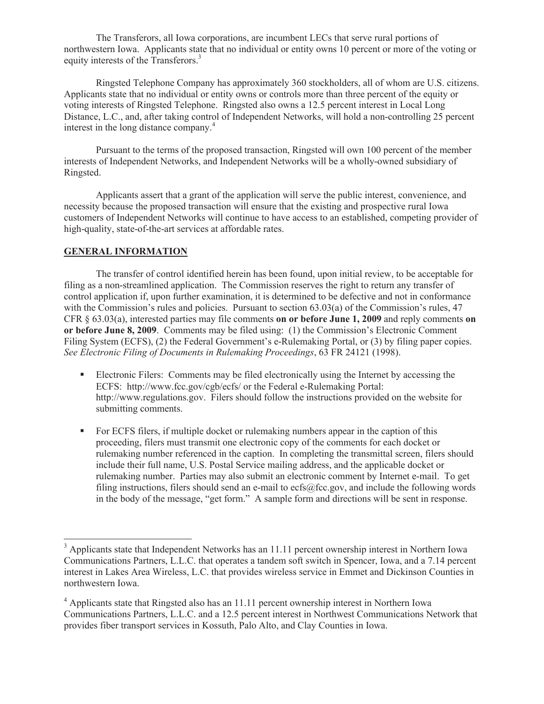The Transferors, all Iowa corporations, are incumbent LECs that serve rural portions of northwestern Iowa. Applicants state that no individual or entity owns 10 percent or more of the voting or equity interests of the Transferors.<sup>3</sup>

Ringsted Telephone Company has approximately 360 stockholders, all of whom are U.S. citizens. Applicants state that no individual or entity owns or controls more than three percent of the equity or voting interests of Ringsted Telephone. Ringsted also owns a 12.5 percent interest in Local Long Distance, L.C., and, after taking control of Independent Networks, will hold a non-controlling 25 percent interest in the long distance company.<sup>4</sup>

Pursuant to the terms of the proposed transaction, Ringsted will own 100 percent of the member interests of Independent Networks, and Independent Networks will be a wholly-owned subsidiary of Ringsted.

Applicants assert that a grant of the application will serve the public interest, convenience, and necessity because the proposed transaction will ensure that the existing and prospective rural Iowa customers of Independent Networks will continue to have access to an established, competing provider of high-quality, state-of-the-art services at affordable rates.

# **GENERAL INFORMATION**

The transfer of control identified herein has been found, upon initial review, to be acceptable for filing as a non-streamlined application. The Commission reserves the right to return any transfer of control application if, upon further examination, it is determined to be defective and not in conformance with the Commission's rules and policies. Pursuant to section 63.03(a) of the Commission's rules, 47 CFR § 63.03(a), interested parties may file comments **on or before June 1, 2009** and reply comments **on or before June 8, 2009**. Comments may be filed using: (1) the Commission's Electronic Comment Filing System (ECFS), (2) the Federal Government's e-Rulemaking Portal, or (3) by filing paper copies. *See Electronic Filing of Documents in Rulemaking Proceedings*, 63 FR 24121 (1998).

- Electronic Filers: Comments may be filed electronically using the Internet by accessing the ECFS: http://www.fcc.gov/cgb/ecfs/ or the Federal e-Rulemaking Portal: http://www.regulations.gov. Filers should follow the instructions provided on the website for submitting comments.
- For ECFS filers, if multiple docket or rulemaking numbers appear in the caption of this proceeding, filers must transmit one electronic copy of the comments for each docket or rulemaking number referenced in the caption. In completing the transmittal screen, filers should include their full name, U.S. Postal Service mailing address, and the applicable docket or rulemaking number. Parties may also submit an electronic comment by Internet e-mail. To get filing instructions, filers should send an e-mail to ecfs@fcc.gov, and include the following words in the body of the message, "get form." A sample form and directions will be sent in response.

<sup>&</sup>lt;sup>3</sup> Applicants state that Independent Networks has an 11.11 percent ownership interest in Northern Iowa Communications Partners, L.L.C. that operates a tandem soft switch in Spencer, Iowa, and a 7.14 percent interest in Lakes Area Wireless, L.C. that provides wireless service in Emmet and Dickinson Counties in northwestern Iowa.

 $<sup>4</sup>$  Applicants state that Ringsted also has an 11.11 percent ownership interest in Northern Iowa</sup> Communications Partners, L.L.C. and a 12.5 percent interest in Northwest Communications Network that provides fiber transport services in Kossuth, Palo Alto, and Clay Counties in Iowa.